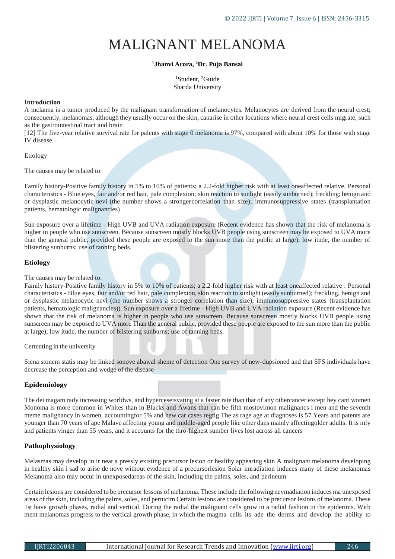# MALIGNANT MELANOMA

## **<sup>1</sup>Jhanvi Arora, <sup>2</sup>Dr. Puja Bansal**

<sup>1</sup>Student, <sup>2</sup>Guide Sharda University

## **Introduction**

A mclanna is a tumor produced by the malignant transformation of melanocytes. Melanocytes are derived from the neural crest; consequently, melanomas, although they usually occur on the skin, canarise in other locations where neural crest cells migrate, such as the gastrointestinal tract and brain

[12] The five-year relative survival rate for palents with stage 0 melanoma is 97%, compared with about 10% for those with stage IV disease.

Etiology

The causes may be related to:

Family history-Positive family history in 5% to 10% of patients; a 2.2-fold higher risk with at least oneaffected relative. Personal characteristics - Blue eyes, fair and/or red hair, pale complexion; skin reaction to sunlight (easily sunburned); freckling; benign and or dysplastic melanocytic nevi (the number shows a strongercorrelation than size); immunosuppressive states (transplantation patients, hematologic malignancies)

Sun exposure over a lifetime - High UVB and UVA radiation exposure (Recent evidence has shown that the risk of melanoma is higher in people who use sunscreen. Because sunscreen mostly blocks UVB people using sunscreen may be exposed to UVA more than the general public, provided these people are exposed to the sun more than the public at large); low itude, the number of blistering sunburns; use of tanning beds.

## **Etiology**

## The causes may be related to:

Family history-Positive family history in 5% to 10% of patients; a 2.2-fold higher risk with at least oneaffected relative . Personal characteristics - Blue eyes, fair and/or red hair, pale complexion, skin reaction to sunlight (easily sunburned); freckling, benign and or dysplastic melanocytic nevi (the number shows a stronger correlation than size); immunosuppressive states (transplantation patients, hematologic malignancies)). Sun exposure over a lifetime - High UVB and UVA radiation exposure (Recent evidence has shown that the risk of melanoma is higher in people who use sunscreen. Because sunscreen mostly blocks UVB people using sunscreen may be exposed to UVA more Than the general public, provided these people are exposed to the sun more than the public at large); low itude, the number of blistering sunburns; use of tanning beds.

Certenting in the university

Siena stonem statis may be linked sonove abawal sheme of detection One survey of new-dupsioned and that SFS individuals have decrease the perception and wedge of the disease

## **Epidemiology**

The dei magam rady increasing worldws, and hyperceseisvating at a faster rate than that of any othercancer except hey cant women Monoma is more common in Whites than in Blacks and Awans that can be fifth mostovimon malignancs i men and the seventh meme malignancy in women, accountingfor 5% and hew car cases regtig The as rage age at diagnoses is 57 Years and patents are younger than 70 years of ape Malave affecting young and middle-aged people like other dans mainly affectingolder adults. It is mly and patients vinger than 55 years, and it accounts for the thro-highest sumber lives lost across all cancers

## **Pathophysiology**

Melasmas may develop in ir neat a pressly existing precursor lesion or healthy appearing skin A malignant melanoma developing in healthy skin i sad to arise de nove without evidence of a precursorlesion Solar imradiation induces many of these melanomas Melanoma also may occur in unexposedareas of the skin, including the palms, soles, and perineum

Certain lesions are considered to be precursor lessons of melanoma. These include the following nevmadiation induces ma unexposed areas of the skin, including the palms, soles, and pernicim Certain lesions are considered to be precursor lesions of melanoma. These 1st have growth phases, radial and vertical. During the radial the malignant cells grow in a radial fashion in the epidermis. With ment melanomas progress to the vertical growth phase, in which the magma cells its ade the derms and develop the ability to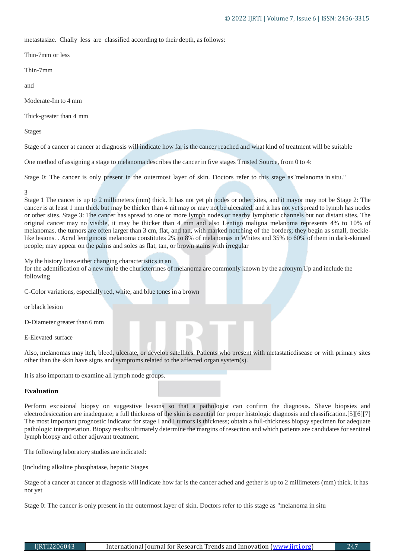metastasize. Chally less are classified according to their depth, as follows:

Thin-7mm or less

Thin-7mm

and

Moderate-Im to 4 mm

Thick-greater than 4 mm

Stages

Stage of a cancer at cancer at diagnosis will indicate how far is the cancer reached and what kind of treatment will be suitable

One method of assigning a stage to melanoma describes the cancer in five stages Trusted Source, from 0 to 4:

Stage 0: The cancer is only present in the outermost layer of skin. Doctors refer to this stage as"melanoma in situ."

## 3

Stage 1 The cancer is up to 2 millimeters (mm) thick. It has not yet ph nodes or other sites, and it mayor may not be Stage 2: The cancer is at least 1 mm thick but may be thicker than 4 nit may or may not be ulcerated, and it has not yet spread to lymph has nodes or other sites. Stage 3: The cancer has spread to one or more lymph nodes or nearby lymphatic channels but not distant sites. The original cancer may no visible, it may be thicker than 4 mm and also Lentigo maligna melanoma represents 4% to 10% of melanomas, the tumors are often larger than 3 cm, flat, and tan, with marked notching of the borders; they begin as small, frecklelike lesions. . Acral lentiginous melanoma constitutes 2% to 8% of melanomas in Whites and 35% to 60% of them in dark-skinned people; may appear on the palms and soles as flat, tan, or brown stains with irregular

My the history lines either changing characteristics in an

for the adentification of a new mole the churicterrines of melanoma are commonly known by the acronym Up and include the following

C-Color variations, especially red, white, and blue tonesin a brown

or black lesion

D-Diameter greater than 6 mm

E-Elevated surface

Also, melanomas may itch, bleed, ulcerate, or develop satellites. Patients who present with metastaticdisease or with primary sites other than the skin have signs and symptoms related to the affected organ system(s).

It is also important to examine all lymph node groups.

## **Evaluation**

Perform excisional biopsy on suggestive lesions so that a pathologist can confirm the diagnosis. Shave biopsies and electrodesiccation are inadequate; a full thickness of the skin is essential for proper histologic diagnosis and classification.[5][6][7] The most important prognostic indicator for stage I and I tumors is thickness; obtain a full-thickness biopsy specimen for adequate pathologic interpretation. Biopsy results ultimately determine the margins of resection and which patients are candidates for sentinel lymph biopsy and other adjuvant treatment.

The following laboratory studies are indicated:

(Including alkaline phosphatase, hepatic Stages

Stage of a cancer at cancer at diagnosis will indicate how far is the cancer ached and gether is up to 2 millimeters (mm) thick. It has not yet

Stage 0: The cancer is only present in the outermost layer of skin. Doctors refer to this stage as "melanoma in situ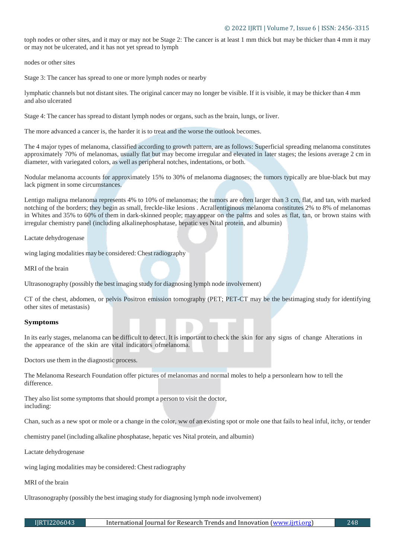## © 2022 IJRTI | Volume 7, Issue 6 | ISSN: 2456-3315

toph nodes or other sites, and it may or may not be Stage 2: The cancer is at least 1 mm thick but may be thicker than 4 mm it may or may not be ulcerated, and it has not yet spread to lymph

nodes or other sites

Stage 3: The cancer has spread to one or more lymph nodes or nearby

lymphatic channels but not distantsites. The original cancer may no longer be visible. If it is visible, it may be thicker than 4 mm and also ulcerated

Stage 4: The cancer has spread to distant lymph nodes or organs, such as the brain, lungs, or liver.

The more advanced a cancer is, the harder it is to treat and the worse the outlook becomes.

The 4 major types of melanoma, classified according to growth pattern, are as follows: Superficial spreading melanoma constitutes approximately 70% of melanomas, usually flat but may become irregular and elevated in later stages; the lesions average 2 cm in diameter, with variegated colors, as well as peripheral notches, indentations, or both.

Nodular melanoma accounts for approximately 15% to 30% of melanoma diagnoses; the tumors typically are blue-black but may lack pigment in some circumstances.

Lentigo maligna melanoma represents 4% to 10% of melanomas; the tumors are often larger than 3 cm, flat, and tan, with marked notching of the borders; they begin as small, freckle-like lesions . Acrallentiginous melanoma constitutes 2% to 8% of melanomas in Whites and 35% to 60% of them in dark-skinned people; may appear on the palms and soles as flat, tan, or brown stains with irregular chemistry panel (including alkalinephosphatase, hepatic ves Nital protein, and albumin)

Lactate dehydrogenase

wing laging modalities may be considered: Chest radiography

MRI of the brain

Ultrasonography (possibly the best imaging study for diagnosing lymph node involvement)

CT of the chest, abdomen, or pelvis Positron emission tomography (PET; PET-CT may be the bestimaging study for identifying other sites of metastasis)

## **Symptoms**

In its early stages, melanoma can be difficult to detect. It is important to check the skin for any signs of change Alterations in the appearance of the skin are vital indicators ofmelanoma.

Doctors use them in the diagnostic process.

The Melanoma Research Foundation offer pictures of melanomas and normal moles to help a personlearn how to tell the difference.

They also list some symptoms that should prompt a person to visit the doctor, including:

Chan, such as a new spot or mole or a change in the color, ww of an existing spot or mole one that fails to heal inful, itchy, or tender

chemistry panel (including alkaline phosphatase, hepatic ves Nital protein, and albumin)

Lactate dehydrogenase

wing laging modalities may be considered: Chest radiography

MRI of the brain

Ultrasonography (possibly the best imaging study for diagnosing lymph node involvement)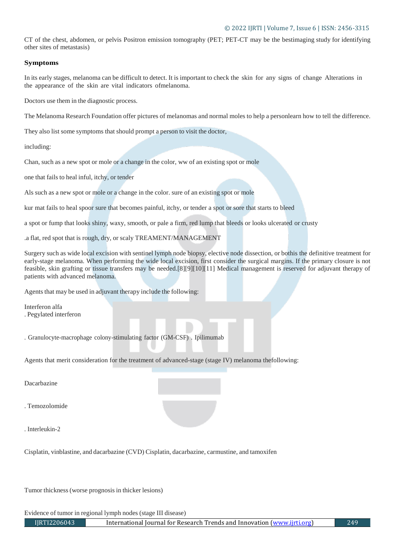## © 2022 IJRTI | Volume 7, Issue 6 | ISSN: 2456-3315

CT of the chest, abdomen, or pelvis Positron emission tomography (PET; PET-CT may be the bestimaging study for identifying other sites of metastasis)

## **Symptoms**

In its early stages, melanoma can be difficult to detect. It is important to check the skin for any signs of change Alterations in the appearance of the skin are vital indicators ofmelanoma.

Doctors use them in the diagnostic process.

The Melanoma Research Foundation offer pictures of melanomas and normal moles to help a personlearn how to tell the difference.

They also list some symptoms that should prompt a person to visit the doctor,

including:

Chan, such as a new spot or mole or a change in the color, ww of an existing spot or mole

one that fails to heal inful, itchy, or tender

Als such as a new spot or mole or a change in the color. sure of an existing spot or mole

kur mat fails to heal spoor sure that becomes painful, itchy, or tender a spot or sore that starts to bleed

a spot or fump that looks shiny, waxy, smooth, or pale a firm, red lump that bleeds or looks ulcerated or crusty

.a flat, red spot that is rough, dry, or scaly TREAMENT/MANAGEMENT

Surgery such as wide local excision with sentinel lymph node biopsy, elective node dissection, or bothis the definitive treatment for early-stage melanoma. When performing the wide local excision, first consider the surgical margins. If the primary closure is not feasible, skin grafting or tissue transfers may be needed.[8][9][10][11] Medical management is reserved for adjuvant therapy of patients with advanced melanoma.

Agents that may be used in adjuvant therapy include the following:

Interferon alfa . Pegylated interferon

. Granulocyte-macrophage colony-stimulating factor (GM-CSF) . Ipilimumab

Agents that merit consideration for the treatment of advanced-stage (stage IV) melanoma thefollowing:

Dacarbazine

. Temozolomide

. Interleukin-2

Cisplatin, vinblastine, and dacarbazine (CVD) Cisplatin, dacarbazine, carmustine, and tamoxifen

Tumor thickness(worse prognosis in thicker lesions)

Evidence of tumor in regional lymph nodes (stage III disease)

IJRTI2206043 International Journal for Research Trends and Innovation [\(www.ijrti.org\)](http://www.ijrti.org/) 249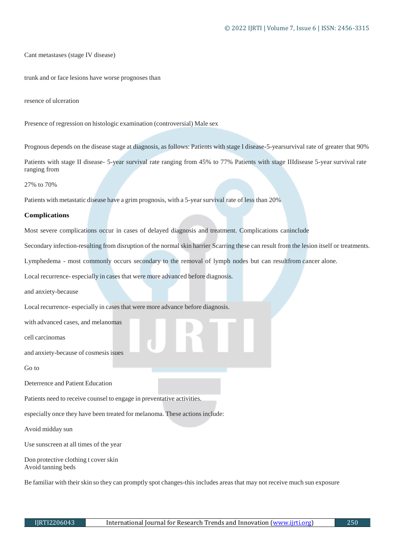Cant metastases (stage IV disease)

trunk and or face lesions have worse prognoses than

resence of ulceration

Presence of regression on histologic examination (controversial) Male sex

Prognous depends on the disease stage at diagnosis, as follows: Patients with stage I disease-5-yearsurvival rate of greater that 90%

Patients with stage II disease- 5-year survival rate ranging from 45% to 77% Patients with stage IIIdisease 5-year survival rate ranging from

27% to 70%

Patients with metastatic disease have a grim prognosis, with a 5-year survival rate of less than 20%

#### **Complications**

Most severe complications occur in cases of delayed diagnosis and treatment. Complications caninclude

Secondary infection-resulting from disruption of the normal skin harrier Scarring these can result from the lesion itself or treatments.

Lymphedema - most commonly occurs secondary to the removal of lymph nodes but can resultfrom cancer alone.

Local recurrence- especially in cases that were more advanced before diagnosis.

and anxiety-because

Local recurrence- especially in cases that were more advance before diagnosis.

with advanced cases, and melanomas

cell carcinomas

and anxiety-because of cosmesis isues

Go to

Deterrence and Patient Education

Patients need to receive counsel to engage in preventative activities.

especially once they have been treated for melanoma. These actions include:

Avoid midday sun

Use sunscreen at all times of the year

Don protective clothing t cover skin Avoid tanning beds

Be familiar with their skin so they can promptly spot changes-this includes areas that may not receive much sun exposure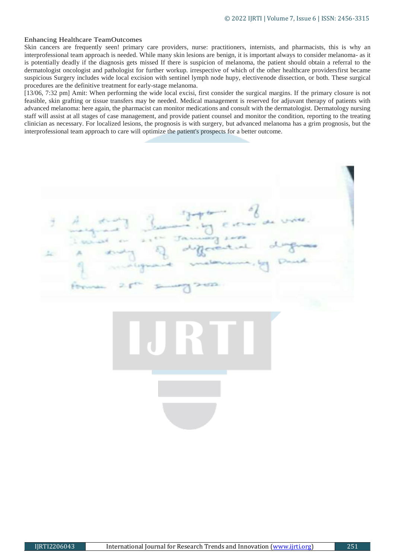#### Enhancing Healthcare TeamOutcomes

Skin cancers are frequently seen! primary care providers, nurse: practitioners, internists, and pharmacists, this is why an interprofessional team approach is needed. While many skin lesions are benign, it is important always to consider melanoma- as it is potentially deadly if the diagnosis gets missed If there is suspicion of melanoma, the patient should obtain a referral to the dermatologist oncologist and pathologist for further workup. irrespective of which of the other healthcare providersfirst became suspicious Surgery includes wide local excision with sentinel lymph node hupy, electivenode dissection, or both. These surgical procedures are the definitive treatment for early-stage melanoma.

[13/06, 7:32 pm] Amit: When performing the wide local excisi, first consider the surgical margins. If the primary closure is not feasible, skin grafting or tissue transfers may be needed. Medical management is reserved for adjuvant therapy of patients with advanced melanoma: here again, the pharmacist can monitor medications and consult with the dermatologist. Dermatology nursing staff will assist at all stages of case management, and provide patient counsel and monitor the condition, reporting to the treating clinician as necessary. For localized lesions, the prognosis is with surgery, but advanced melanoma has a grim prognosis, but the interprofessional team approach to care will optimize the patient's prospects for a better outcome.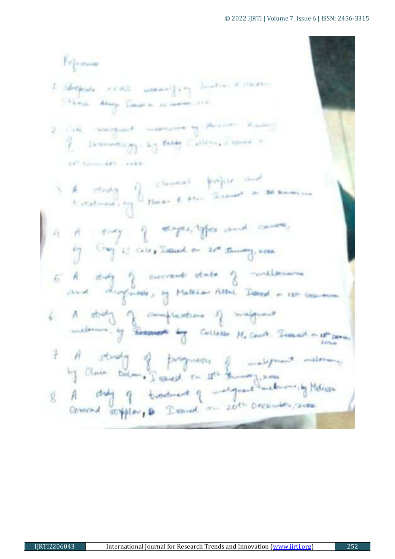beforen I Shapeare really seekared pay Indian a starting things. Adapt Samuel as commenced and 2 Call margaret manuscre of American Radio I Demondar 1 Eddy Collins, I speed a 24" Grounder pank 3 A study of clament traject and 4 H ruy of steps, types and cause, by Gay is cite, Search on 21th Samony, 2000. 5 A strong of accrement state of millenous 6 A straty of completions of magnest.<br>meloments of Brown by College M. Court Semestry of 7 A study of progress of malgrent meters,